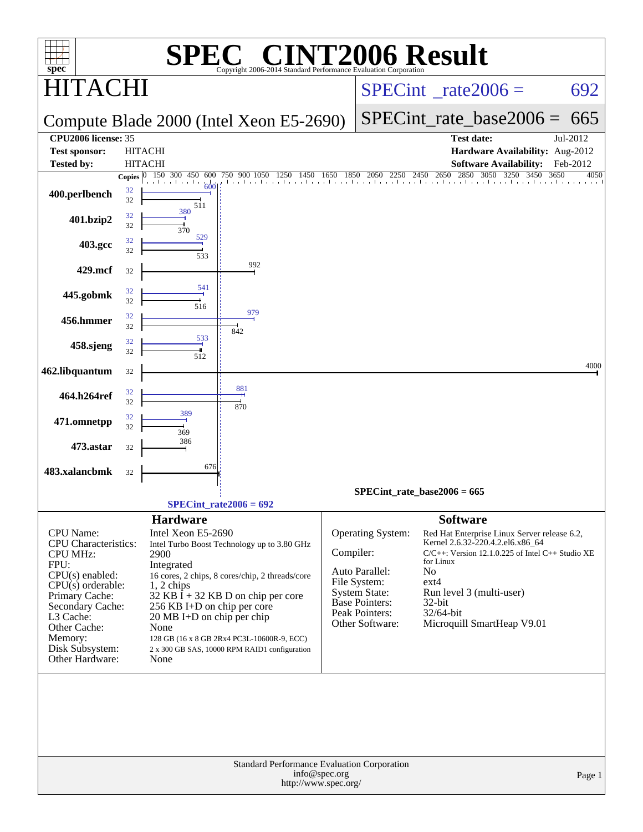| <b>C® CINT2006 Result</b><br>$spec^*$<br>Copyright 2006-2014 Standard Performance Evaluation Corporation                                |                          |                                                                                                                                                                                                                                        |                                        |                              |                                                                                                    |                                                                                                                                                                                           |                          |  |
|-----------------------------------------------------------------------------------------------------------------------------------------|--------------------------|----------------------------------------------------------------------------------------------------------------------------------------------------------------------------------------------------------------------------------------|----------------------------------------|------------------------------|----------------------------------------------------------------------------------------------------|-------------------------------------------------------------------------------------------------------------------------------------------------------------------------------------------|--------------------------|--|
| l'ACI                                                                                                                                   |                          |                                                                                                                                                                                                                                        | $SPECint^{\circ}$ rate $2006 =$<br>692 |                              |                                                                                                    |                                                                                                                                                                                           |                          |  |
|                                                                                                                                         |                          | Compute Blade 2000 (Intel Xeon E5-2690)                                                                                                                                                                                                |                                        | $SPECint$ rate base $2006 =$ | 665                                                                                                |                                                                                                                                                                                           |                          |  |
| CPU2006 license: 35                                                                                                                     |                          |                                                                                                                                                                                                                                        |                                        | <b>Test date:</b>            | Jul-2012                                                                                           |                                                                                                                                                                                           |                          |  |
| <b>Test sponsor:</b>                                                                                                                    |                          | <b>HITACHI</b>                                                                                                                                                                                                                         |                                        |                              |                                                                                                    | Hardware Availability: Aug-2012                                                                                                                                                           |                          |  |
| <b>Tested by:</b>                                                                                                                       |                          | <b>HITACHI</b><br>150 300 450 600                                                                                                                                                                                                      | 750 900 1050 1250<br>1450              | 1650<br>1850                 | 2250                                                                                               | <b>Software Availability:</b><br>2650 2850 3050<br>3250<br>3450<br>2450                                                                                                                   | Feb-2012<br>3650<br>4050 |  |
| 400.perlbench                                                                                                                           | Copies $ 0 $<br>32<br>32 | المستقبل والمتنبذ<br>60 <sup>1</sup><br>511                                                                                                                                                                                            | the closed and closed                  |                              | 2050                                                                                               |                                                                                                                                                                                           |                          |  |
| 401.bzip2                                                                                                                               | 32<br>32                 | 380<br>370                                                                                                                                                                                                                             |                                        |                              |                                                                                                    |                                                                                                                                                                                           |                          |  |
| 403.gcc                                                                                                                                 | 32<br>32                 | 529<br>533                                                                                                                                                                                                                             |                                        |                              |                                                                                                    |                                                                                                                                                                                           |                          |  |
| 429.mcf                                                                                                                                 | 32                       |                                                                                                                                                                                                                                        | 992                                    |                              |                                                                                                    |                                                                                                                                                                                           |                          |  |
| 445.gobmk                                                                                                                               | 32<br>32                 | 541<br>516                                                                                                                                                                                                                             |                                        |                              |                                                                                                    |                                                                                                                                                                                           |                          |  |
| 456.hmmer                                                                                                                               | 32<br>32                 | 842                                                                                                                                                                                                                                    | 979                                    |                              |                                                                                                    |                                                                                                                                                                                           |                          |  |
| 458.sjeng                                                                                                                               | 32<br>32                 | 533<br>512                                                                                                                                                                                                                             |                                        |                              |                                                                                                    |                                                                                                                                                                                           |                          |  |
| 462.libquantum                                                                                                                          | 32                       |                                                                                                                                                                                                                                        |                                        |                              |                                                                                                    |                                                                                                                                                                                           | 4000                     |  |
| 464.h264ref                                                                                                                             | 32<br>32                 | 881<br>870                                                                                                                                                                                                                             |                                        |                              |                                                                                                    |                                                                                                                                                                                           |                          |  |
| 471.omnetpp                                                                                                                             | 32<br>32                 | 389<br>369                                                                                                                                                                                                                             |                                        |                              |                                                                                                    |                                                                                                                                                                                           |                          |  |
| 473.astar                                                                                                                               | 32                       | 386                                                                                                                                                                                                                                    |                                        |                              |                                                                                                    |                                                                                                                                                                                           |                          |  |
| 483.xalancbmk                                                                                                                           | 32                       | 676                                                                                                                                                                                                                                    |                                        |                              |                                                                                                    |                                                                                                                                                                                           |                          |  |
|                                                                                                                                         |                          |                                                                                                                                                                                                                                        |                                        |                              |                                                                                                    | SPECint rate base2006 = $665$                                                                                                                                                             |                          |  |
|                                                                                                                                         |                          | $SPECint_rate2006 = 692$                                                                                                                                                                                                               |                                        |                              |                                                                                                    |                                                                                                                                                                                           |                          |  |
| CPU Name:<br>CPU Characteristics:<br><b>CPU MHz:</b><br>FPU:<br>$CPU(s)$ enabled:                                                       |                          | <b>Hardware</b><br>Intel Xeon E5-2690<br>Intel Turbo Boost Technology up to 3.80 GHz<br>2900<br>Integrated<br>16 cores, 2 chips, 8 cores/chip, 2 threads/core                                                                          |                                        | Compiler:                    | Operating System:<br>Auto Parallel:                                                                | <b>Software</b><br>Red Hat Enterprise Linux Server release 6.2,<br>Kernel 2.6.32-220.4.2.el6.x86_64<br>$C/C++$ : Version 12.1.0.225 of Intel C++ Studio XE<br>for Linux<br>N <sub>o</sub> |                          |  |
| $CPU(s)$ orderable:<br>Primary Cache:<br>Secondary Cache:<br>L3 Cache:<br>Other Cache:<br>Memory:<br>Disk Subsystem:<br>Other Hardware: |                          | $1, 2$ chips<br>32 KB $\bar{I}$ + 32 KB D on chip per core<br>256 KB I+D on chip per core<br>20 MB I+D on chip per chip<br>None<br>128 GB (16 x 8 GB 2Rx4 PC3L-10600R-9, ECC)<br>2 x 300 GB SAS, 10000 RPM RAID1 configuration<br>None |                                        |                              | File System:<br><b>System State:</b><br><b>Base Pointers:</b><br>Peak Pointers:<br>Other Software: | $ext{4}$<br>Run level 3 (multi-user)<br>32-bit<br>32/64-bit<br>Microquill SmartHeap V9.01                                                                                                 |                          |  |
|                                                                                                                                         |                          |                                                                                                                                                                                                                                        |                                        |                              |                                                                                                    |                                                                                                                                                                                           |                          |  |
| Standard Performance Evaluation Corporation<br>info@spec.org<br>Page 1<br>http://www.spec.org/                                          |                          |                                                                                                                                                                                                                                        |                                        |                              |                                                                                                    |                                                                                                                                                                                           |                          |  |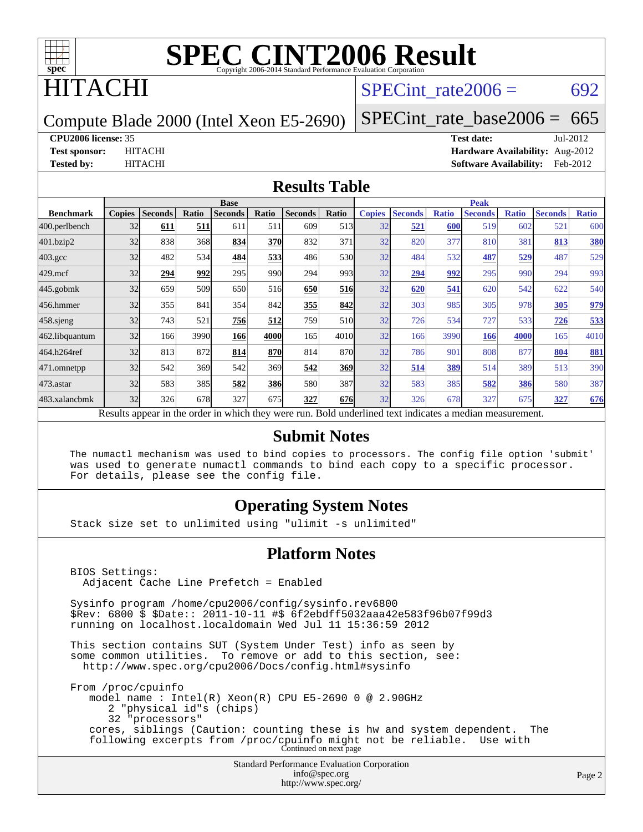

## **TACHI**

### SPECint rate $2006 = 692$

Compute Blade 2000 (Intel Xeon E5-2690)

[SPECint\\_rate\\_base2006 =](http://www.spec.org/auto/cpu2006/Docs/result-fields.html#SPECintratebase2006)  $665$ 

#### **[CPU2006 license:](http://www.spec.org/auto/cpu2006/Docs/result-fields.html#CPU2006license)** 35 **[Test date:](http://www.spec.org/auto/cpu2006/Docs/result-fields.html#Testdate)** Jul-2012

**[Test sponsor:](http://www.spec.org/auto/cpu2006/Docs/result-fields.html#Testsponsor)** HITACHI **[Hardware Availability:](http://www.spec.org/auto/cpu2006/Docs/result-fields.html#HardwareAvailability)** Aug-2012 **[Tested by:](http://www.spec.org/auto/cpu2006/Docs/result-fields.html#Testedby)** HITACHI **[Software Availability:](http://www.spec.org/auto/cpu2006/Docs/result-fields.html#SoftwareAvailability)** Feb-2012

#### **[Results Table](http://www.spec.org/auto/cpu2006/Docs/result-fields.html#ResultsTable)**

|                                                                                                          | <b>Base</b>   |                |       |                |            |                | <b>Peak</b> |               |                |              |                |              |                |              |
|----------------------------------------------------------------------------------------------------------|---------------|----------------|-------|----------------|------------|----------------|-------------|---------------|----------------|--------------|----------------|--------------|----------------|--------------|
| <b>Benchmark</b>                                                                                         | <b>Copies</b> | <b>Seconds</b> | Ratio | <b>Seconds</b> | Ratio      | <b>Seconds</b> | Ratio       | <b>Copies</b> | <b>Seconds</b> | <b>Ratio</b> | <b>Seconds</b> | <b>Ratio</b> | <b>Seconds</b> | <b>Ratio</b> |
| 400.perlbench                                                                                            | 32            | 611            | 511   | 611            | 511        | 609            | 513         | 32            | 521            | 600          | 519            | 602          | 521            | 600          |
| 401.bzip2                                                                                                | 32            | 838            | 368   | 834            | <b>370</b> | 832            | 371         | 32            | 820            | 377          | 810            | 381          | 813            | 380          |
| $403.\mathrm{gcc}$                                                                                       | 32            | 482            | 534   | 484            | 533        | 486            | 530         | 32            | 484            | 532          | 487            | 529          | 487            | 529          |
| $429$ .mcf                                                                                               | 32            | 294            | 992   | 295            | 990        | 294            | 993         | 32            | 294            | 992          | 295            | 990          | 294            | 993          |
| $445$ .gobmk                                                                                             | 32            | 659            | 509   | 650            | 516        | 650            | 516         | 32            | 620            | 541          | 620            | 542          | 622            | 540          |
| 456.hmmer                                                                                                | 32            | 355            | 841   | 354            | 842        | 355            | 842         | 32            | 303            | 985          | 305            | 978          | 305            | 979          |
| $458$ .sjeng                                                                                             | 32            | 743            | 521   | 756            | 512        | 759            | 510         | 32            | 726            | 534          | 727            | 533          | 726            | 533          |
| 462.libquantum                                                                                           | 32            | 166            | 3990  | 166            | 4000       | 165            | 4010l       | 32            | 166            | 3990         | 166            | 4000         | 165            | 4010         |
| 464.h264ref                                                                                              | 32            | 813            | 872   | 814            | 870        | 814            | 870         | 32            | 786            | 901          | 808            | 877          | 804            | <b>881</b>   |
| 471.omnetpp                                                                                              | 32            | 542            | 369   | 542            | 369        | 542            | 369         | 32            | 514            | 389          | 514            | 389          | 513            | 390          |
| 473.astar                                                                                                | 32            | 583            | 385   | 582            | <b>386</b> | 580            | 387         | 32            | 583            | 385          | 582            | 386          | 580            | 387          |
| 483.xalancbmk                                                                                            | 32            | 326            | 678   | 327            | 675        | 327            | 676         | 32            | 326            | 678          | 327            | 675          | 327            | 676          |
| Results appear in the order in which they were run. Bold underlined text indicates a median measurement. |               |                |       |                |            |                |             |               |                |              |                |              |                |              |

#### **[Submit Notes](http://www.spec.org/auto/cpu2006/Docs/result-fields.html#SubmitNotes)**

 The numactl mechanism was used to bind copies to processors. The config file option 'submit' was used to generate numactl commands to bind each copy to a specific processor. For details, please see the config file.

#### **[Operating System Notes](http://www.spec.org/auto/cpu2006/Docs/result-fields.html#OperatingSystemNotes)**

Stack size set to unlimited using "ulimit -s unlimited"

#### **[Platform Notes](http://www.spec.org/auto/cpu2006/Docs/result-fields.html#PlatformNotes)**

```
Standard Performance Evaluation Corporation
                                      info@spec.org
 BIOS Settings:
   Adjacent Cache Line Prefetch = Enabled
 Sysinfo program /home/cpu2006/config/sysinfo.rev6800
 $Rev: 6800 $ $Date:: 2011-10-11 #$ 6f2ebdff5032aaa42e583f96b07f99d3
 running on localhost.localdomain Wed Jul 11 15:36:59 2012
 This section contains SUT (System Under Test) info as seen by
 some common utilities. To remove or add to this section, see:
   http://www.spec.org/cpu2006/Docs/config.html#sysinfo
 From /proc/cpuinfo
     model name : Intel(R) Xeon(R) CPU E5-2690 0 @ 2.90GHz
        2 "physical id"s (chips)
        32 "processors"
     cores, siblings (Caution: counting these is hw and system dependent. The
 following excerpts from /proc/cpuinfo might not be reliable. Use with
Continued on next page
```
<http://www.spec.org/>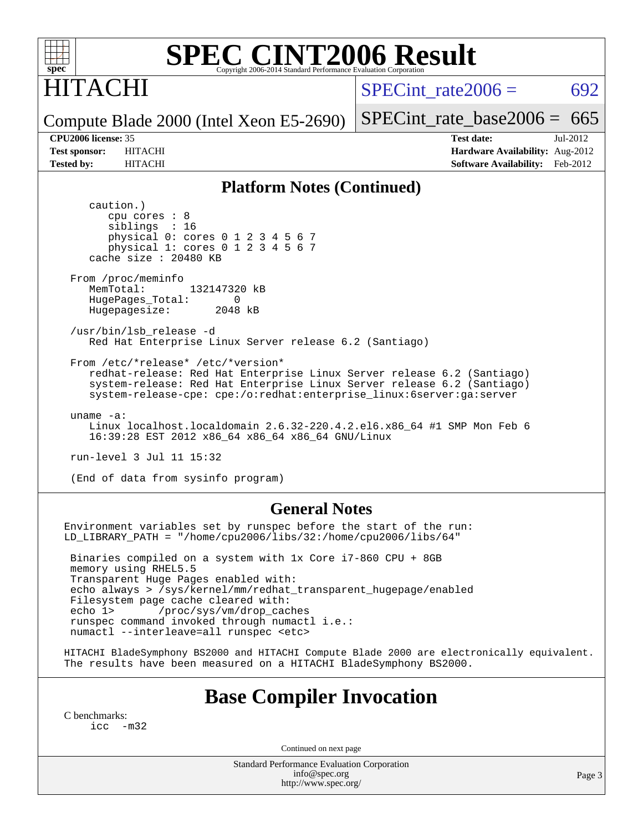

## ITACHI

SPECint rate $2006 = 692$ 

Compute Blade 2000 (Intel Xeon E5-2690) [SPECint\\_rate\\_base2006 =](http://www.spec.org/auto/cpu2006/Docs/result-fields.html#SPECintratebase2006)  $665$ 

**[CPU2006 license:](http://www.spec.org/auto/cpu2006/Docs/result-fields.html#CPU2006license)** 35 **[Test date:](http://www.spec.org/auto/cpu2006/Docs/result-fields.html#Testdate)** Jul-2012 **[Test sponsor:](http://www.spec.org/auto/cpu2006/Docs/result-fields.html#Testsponsor)** HITACHI **[Hardware Availability:](http://www.spec.org/auto/cpu2006/Docs/result-fields.html#HardwareAvailability)** Aug-2012 **[Tested by:](http://www.spec.org/auto/cpu2006/Docs/result-fields.html#Testedby)** HITACHI **[Software Availability:](http://www.spec.org/auto/cpu2006/Docs/result-fields.html#SoftwareAvailability)** Feb-2012

#### **[Platform Notes \(Continued\)](http://www.spec.org/auto/cpu2006/Docs/result-fields.html#PlatformNotes)**

 caution.) cpu cores : 8 siblings : 16 physical 0: cores 0 1 2 3 4 5 6 7 physical 1: cores 0 1 2 3 4 5 6 7 cache size : 20480 KB From /proc/meminfo<br>MemTotal: 132147320 kB MemTotal: HugePages\_Total: 0<br>Hugepagesize: 2048 kB Hugepagesize: /usr/bin/lsb\_release -d Red Hat Enterprise Linux Server release 6.2 (Santiago) From /etc/\*release\* /etc/\*version\* redhat-release: Red Hat Enterprise Linux Server release 6.2 (Santiago) system-release: Red Hat Enterprise Linux Server release 6.2 (Santiago) system-release-cpe: cpe:/o:redhat:enterprise\_linux:6server:ga:server uname -a: Linux localhost.localdomain 2.6.32-220.4.2.el6.x86\_64 #1 SMP Mon Feb 6 16:39:28 EST 2012 x86\_64 x86\_64 x86\_64 GNU/Linux run-level 3 Jul 11 15:32 (End of data from sysinfo program)

#### **[General Notes](http://www.spec.org/auto/cpu2006/Docs/result-fields.html#GeneralNotes)**

Environment variables set by runspec before the start of the run: LD\_LIBRARY\_PATH = "/home/cpu2006/libs/32:/home/cpu2006/libs/64"

 Binaries compiled on a system with 1x Core i7-860 CPU + 8GB memory using RHEL5.5 Transparent Huge Pages enabled with: echo always > /sys/kernel/mm/redhat\_transparent\_hugepage/enabled Filesystem page cache cleared with: echo 1> /proc/sys/vm/drop\_caches runspec command invoked through numactl i.e.: numactl --interleave=all runspec <etc>

HITACHI BladeSymphony BS2000 and HITACHI Compute Blade 2000 are electronically equivalent. The results have been measured on a HITACHI BladeSymphony BS2000.

### **[Base Compiler Invocation](http://www.spec.org/auto/cpu2006/Docs/result-fields.html#BaseCompilerInvocation)**

[C benchmarks](http://www.spec.org/auto/cpu2006/Docs/result-fields.html#Cbenchmarks):  $inc -m32$ 

Continued on next page

Standard Performance Evaluation Corporation [info@spec.org](mailto:info@spec.org) <http://www.spec.org/>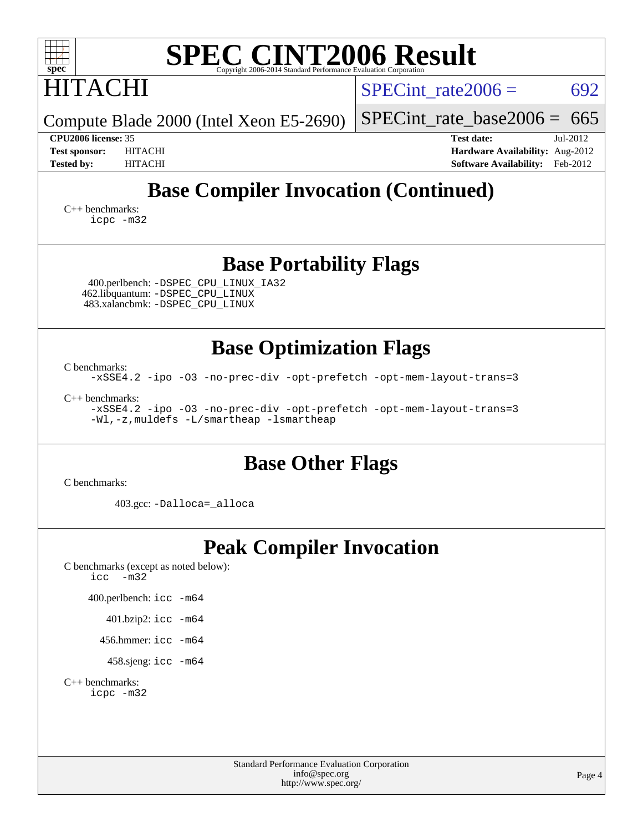| <b>SPEC CINT2006 Result</b><br>$spec^*$<br>Copyright 2006-2014 Standard Performance Evaluation Corpora                                   |                                                                                                            |  |  |  |  |  |  |
|------------------------------------------------------------------------------------------------------------------------------------------|------------------------------------------------------------------------------------------------------------|--|--|--|--|--|--|
| <b>HITACHI</b>                                                                                                                           | SPECint rate $2006 =$<br>692                                                                               |  |  |  |  |  |  |
| Compute Blade 2000 (Intel Xeon E5-2690)                                                                                                  | $SPECint_rate_base2006 = 665$                                                                              |  |  |  |  |  |  |
| CPU2006 license: 35<br><b>Test sponsor:</b><br><b>HITACHI</b><br><b>Tested by:</b><br><b>HITACHI</b>                                     | <b>Test date:</b><br>Jul-2012<br>Hardware Availability: Aug-2012<br><b>Software Availability:</b> Feb-2012 |  |  |  |  |  |  |
| <b>Base Compiler Invocation (Continued)</b>                                                                                              |                                                                                                            |  |  |  |  |  |  |
| $C_{++}$ benchmarks:<br>icpc -m32                                                                                                        |                                                                                                            |  |  |  |  |  |  |
| <b>Base Portability Flags</b><br>400.perlbench: -DSPEC_CPU_LINUX_IA32<br>462.libquantum: - DSPEC_CPU_LINUX                               |                                                                                                            |  |  |  |  |  |  |
| 483.xalancbmk: -DSPEC_CPU_LINUX                                                                                                          |                                                                                                            |  |  |  |  |  |  |
| <b>Base Optimization Flags</b>                                                                                                           |                                                                                                            |  |  |  |  |  |  |
| C benchmarks:<br>-xSSE4.2 -ipo -03 -no-prec-div -opt-prefetch -opt-mem-layout-trans=3                                                    |                                                                                                            |  |  |  |  |  |  |
| $C_{++}$ benchmarks:<br>-xSSE4.2 -ipo -03 -no-prec-div -opt-prefetch -opt-mem-layout-trans=3<br>-Wl,-z, muldefs -L/smartheap -lsmartheap |                                                                                                            |  |  |  |  |  |  |
| <b>Base Other Flags</b><br>C benchmarks:                                                                                                 |                                                                                                            |  |  |  |  |  |  |
| 403.gcc: -Dalloca= alloca                                                                                                                |                                                                                                            |  |  |  |  |  |  |
| <b>Peak Compiler Invocation</b><br>C benchmarks (except as noted below):<br>$-m32$<br>icc                                                |                                                                                                            |  |  |  |  |  |  |
| 400.perlbench: icc -m64<br>401.bzip2: icc -m64                                                                                           |                                                                                                            |  |  |  |  |  |  |
| 456.hmmer: icc -m64                                                                                                                      |                                                                                                            |  |  |  |  |  |  |
| 458.sjeng: $\text{icc}$ -m64                                                                                                             |                                                                                                            |  |  |  |  |  |  |
| $C_{++}$ benchmarks:<br>icpc -m32                                                                                                        |                                                                                                            |  |  |  |  |  |  |
| <b>Standard Performance Evaluation Corporation</b><br>info@spec.org<br>http://www.spec.org/                                              | Page 4                                                                                                     |  |  |  |  |  |  |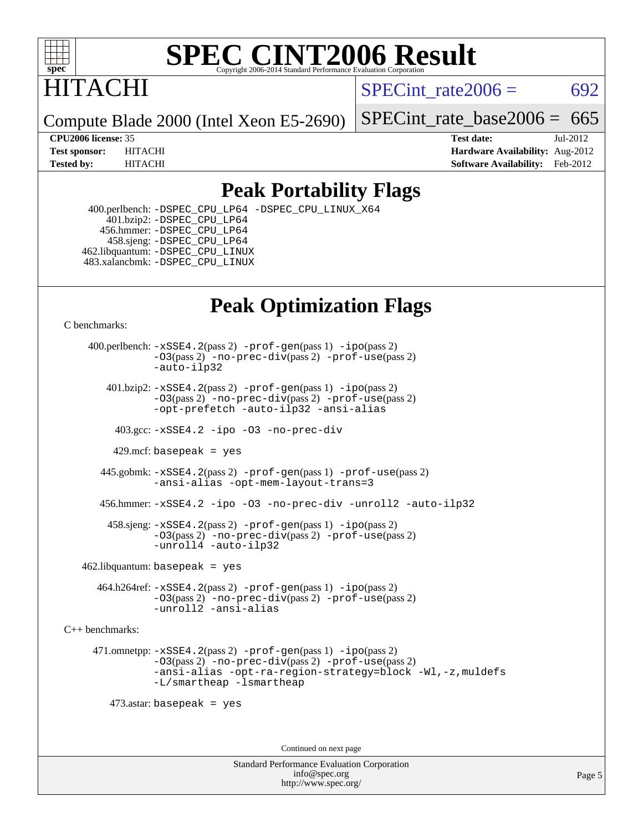

# **ITACHI**

SPECint rate $2006 = 692$ 

Compute Blade 2000 (Intel Xeon E5-2690)

[SPECint\\_rate\\_base2006 =](http://www.spec.org/auto/cpu2006/Docs/result-fields.html#SPECintratebase2006)  $665$ 

**[CPU2006 license:](http://www.spec.org/auto/cpu2006/Docs/result-fields.html#CPU2006license)** 35 **[Test date:](http://www.spec.org/auto/cpu2006/Docs/result-fields.html#Testdate)** Jul-2012 **[Test sponsor:](http://www.spec.org/auto/cpu2006/Docs/result-fields.html#Testsponsor)** HITACHI **[Hardware Availability:](http://www.spec.org/auto/cpu2006/Docs/result-fields.html#HardwareAvailability)** Aug-2012 **[Tested by:](http://www.spec.org/auto/cpu2006/Docs/result-fields.html#Testedby)** HITACHI **[Software Availability:](http://www.spec.org/auto/cpu2006/Docs/result-fields.html#SoftwareAvailability)** Feb-2012

### **[Peak Portability Flags](http://www.spec.org/auto/cpu2006/Docs/result-fields.html#PeakPortabilityFlags)**

 400.perlbench: [-DSPEC\\_CPU\\_LP64](http://www.spec.org/cpu2006/results/res2012q3/cpu2006-20120813-24220.flags.html#b400.perlbench_peakCPORTABILITY_DSPEC_CPU_LP64) [-DSPEC\\_CPU\\_LINUX\\_X64](http://www.spec.org/cpu2006/results/res2012q3/cpu2006-20120813-24220.flags.html#b400.perlbench_peakCPORTABILITY_DSPEC_CPU_LINUX_X64) 401.bzip2: [-DSPEC\\_CPU\\_LP64](http://www.spec.org/cpu2006/results/res2012q3/cpu2006-20120813-24220.flags.html#suite_peakCPORTABILITY401_bzip2_DSPEC_CPU_LP64) 456.hmmer: [-DSPEC\\_CPU\\_LP64](http://www.spec.org/cpu2006/results/res2012q3/cpu2006-20120813-24220.flags.html#suite_peakCPORTABILITY456_hmmer_DSPEC_CPU_LP64) 458.sjeng: [-DSPEC\\_CPU\\_LP64](http://www.spec.org/cpu2006/results/res2012q3/cpu2006-20120813-24220.flags.html#suite_peakCPORTABILITY458_sjeng_DSPEC_CPU_LP64) 462.libquantum: [-DSPEC\\_CPU\\_LINUX](http://www.spec.org/cpu2006/results/res2012q3/cpu2006-20120813-24220.flags.html#b462.libquantum_peakCPORTABILITY_DSPEC_CPU_LINUX) 483.xalancbmk: [-DSPEC\\_CPU\\_LINUX](http://www.spec.org/cpu2006/results/res2012q3/cpu2006-20120813-24220.flags.html#b483.xalancbmk_peakCXXPORTABILITY_DSPEC_CPU_LINUX)

## **[Peak Optimization Flags](http://www.spec.org/auto/cpu2006/Docs/result-fields.html#PeakOptimizationFlags)**

[C benchmarks](http://www.spec.org/auto/cpu2006/Docs/result-fields.html#Cbenchmarks):

 400.perlbench: [-xSSE4.2](http://www.spec.org/cpu2006/results/res2012q3/cpu2006-20120813-24220.flags.html#user_peakPASS2_CFLAGSPASS2_LDCFLAGS400_perlbench_f-xSSE42_f91528193cf0b216347adb8b939d4107)(pass 2) [-prof-gen](http://www.spec.org/cpu2006/results/res2012q3/cpu2006-20120813-24220.flags.html#user_peakPASS1_CFLAGSPASS1_LDCFLAGS400_perlbench_prof_gen_e43856698f6ca7b7e442dfd80e94a8fc)(pass 1) [-ipo](http://www.spec.org/cpu2006/results/res2012q3/cpu2006-20120813-24220.flags.html#user_peakPASS2_CFLAGSPASS2_LDCFLAGS400_perlbench_f-ipo)(pass 2) [-O3](http://www.spec.org/cpu2006/results/res2012q3/cpu2006-20120813-24220.flags.html#user_peakPASS2_CFLAGSPASS2_LDCFLAGS400_perlbench_f-O3)(pass 2) [-no-prec-div](http://www.spec.org/cpu2006/results/res2012q3/cpu2006-20120813-24220.flags.html#user_peakPASS2_CFLAGSPASS2_LDCFLAGS400_perlbench_f-no-prec-div)(pass 2) [-prof-use](http://www.spec.org/cpu2006/results/res2012q3/cpu2006-20120813-24220.flags.html#user_peakPASS2_CFLAGSPASS2_LDCFLAGS400_perlbench_prof_use_bccf7792157ff70d64e32fe3e1250b55)(pass 2) [-auto-ilp32](http://www.spec.org/cpu2006/results/res2012q3/cpu2006-20120813-24220.flags.html#user_peakCOPTIMIZE400_perlbench_f-auto-ilp32)  $401.bzip2: -xSSE4.2(pass 2) -prof-qen(pass 1) -ipo(pass 2)$  $401.bzip2: -xSSE4.2(pass 2) -prof-qen(pass 1) -ipo(pass 2)$  $401.bzip2: -xSSE4.2(pass 2) -prof-qen(pass 1) -ipo(pass 2)$  $401.bzip2: -xSSE4.2(pass 2) -prof-qen(pass 1) -ipo(pass 2)$  $401.bzip2: -xSSE4.2(pass 2) -prof-qen(pass 1) -ipo(pass 2)$ [-O3](http://www.spec.org/cpu2006/results/res2012q3/cpu2006-20120813-24220.flags.html#user_peakPASS2_CFLAGSPASS2_LDCFLAGS401_bzip2_f-O3)(pass 2) [-no-prec-div](http://www.spec.org/cpu2006/results/res2012q3/cpu2006-20120813-24220.flags.html#user_peakPASS2_CFLAGSPASS2_LDCFLAGS401_bzip2_f-no-prec-div)(pass 2) [-prof-use](http://www.spec.org/cpu2006/results/res2012q3/cpu2006-20120813-24220.flags.html#user_peakPASS2_CFLAGSPASS2_LDCFLAGS401_bzip2_prof_use_bccf7792157ff70d64e32fe3e1250b55)(pass 2) [-opt-prefetch](http://www.spec.org/cpu2006/results/res2012q3/cpu2006-20120813-24220.flags.html#user_peakCOPTIMIZE401_bzip2_f-opt-prefetch) [-auto-ilp32](http://www.spec.org/cpu2006/results/res2012q3/cpu2006-20120813-24220.flags.html#user_peakCOPTIMIZE401_bzip2_f-auto-ilp32) [-ansi-alias](http://www.spec.org/cpu2006/results/res2012q3/cpu2006-20120813-24220.flags.html#user_peakCOPTIMIZE401_bzip2_f-ansi-alias) 403.gcc: [-xSSE4.2](http://www.spec.org/cpu2006/results/res2012q3/cpu2006-20120813-24220.flags.html#user_peakCOPTIMIZE403_gcc_f-xSSE42_f91528193cf0b216347adb8b939d4107) [-ipo](http://www.spec.org/cpu2006/results/res2012q3/cpu2006-20120813-24220.flags.html#user_peakCOPTIMIZE403_gcc_f-ipo) [-O3](http://www.spec.org/cpu2006/results/res2012q3/cpu2006-20120813-24220.flags.html#user_peakCOPTIMIZE403_gcc_f-O3) [-no-prec-div](http://www.spec.org/cpu2006/results/res2012q3/cpu2006-20120813-24220.flags.html#user_peakCOPTIMIZE403_gcc_f-no-prec-div) 429.mcf: basepeak = yes 445.gobmk: [-xSSE4.2](http://www.spec.org/cpu2006/results/res2012q3/cpu2006-20120813-24220.flags.html#user_peakPASS2_CFLAGSPASS2_LDCFLAGS445_gobmk_f-xSSE42_f91528193cf0b216347adb8b939d4107)(pass 2) [-prof-gen](http://www.spec.org/cpu2006/results/res2012q3/cpu2006-20120813-24220.flags.html#user_peakPASS1_CFLAGSPASS1_LDCFLAGS445_gobmk_prof_gen_e43856698f6ca7b7e442dfd80e94a8fc)(pass 1) [-prof-use](http://www.spec.org/cpu2006/results/res2012q3/cpu2006-20120813-24220.flags.html#user_peakPASS2_CFLAGSPASS2_LDCFLAGS445_gobmk_prof_use_bccf7792157ff70d64e32fe3e1250b55)(pass 2) [-ansi-alias](http://www.spec.org/cpu2006/results/res2012q3/cpu2006-20120813-24220.flags.html#user_peakCOPTIMIZE445_gobmk_f-ansi-alias) [-opt-mem-layout-trans=3](http://www.spec.org/cpu2006/results/res2012q3/cpu2006-20120813-24220.flags.html#user_peakCOPTIMIZE445_gobmk_f-opt-mem-layout-trans_a7b82ad4bd7abf52556d4961a2ae94d5) 456.hmmer: [-xSSE4.2](http://www.spec.org/cpu2006/results/res2012q3/cpu2006-20120813-24220.flags.html#user_peakCOPTIMIZE456_hmmer_f-xSSE42_f91528193cf0b216347adb8b939d4107) [-ipo](http://www.spec.org/cpu2006/results/res2012q3/cpu2006-20120813-24220.flags.html#user_peakCOPTIMIZE456_hmmer_f-ipo) [-O3](http://www.spec.org/cpu2006/results/res2012q3/cpu2006-20120813-24220.flags.html#user_peakCOPTIMIZE456_hmmer_f-O3) [-no-prec-div](http://www.spec.org/cpu2006/results/res2012q3/cpu2006-20120813-24220.flags.html#user_peakCOPTIMIZE456_hmmer_f-no-prec-div) [-unroll2](http://www.spec.org/cpu2006/results/res2012q3/cpu2006-20120813-24220.flags.html#user_peakCOPTIMIZE456_hmmer_f-unroll_784dae83bebfb236979b41d2422d7ec2) [-auto-ilp32](http://www.spec.org/cpu2006/results/res2012q3/cpu2006-20120813-24220.flags.html#user_peakCOPTIMIZE456_hmmer_f-auto-ilp32) 458.sjeng: [-xSSE4.2](http://www.spec.org/cpu2006/results/res2012q3/cpu2006-20120813-24220.flags.html#user_peakPASS2_CFLAGSPASS2_LDCFLAGS458_sjeng_f-xSSE42_f91528193cf0b216347adb8b939d4107)(pass 2) [-prof-gen](http://www.spec.org/cpu2006/results/res2012q3/cpu2006-20120813-24220.flags.html#user_peakPASS1_CFLAGSPASS1_LDCFLAGS458_sjeng_prof_gen_e43856698f6ca7b7e442dfd80e94a8fc)(pass 1) [-ipo](http://www.spec.org/cpu2006/results/res2012q3/cpu2006-20120813-24220.flags.html#user_peakPASS2_CFLAGSPASS2_LDCFLAGS458_sjeng_f-ipo)(pass 2) [-O3](http://www.spec.org/cpu2006/results/res2012q3/cpu2006-20120813-24220.flags.html#user_peakPASS2_CFLAGSPASS2_LDCFLAGS458_sjeng_f-O3)(pass 2) [-no-prec-div](http://www.spec.org/cpu2006/results/res2012q3/cpu2006-20120813-24220.flags.html#user_peakPASS2_CFLAGSPASS2_LDCFLAGS458_sjeng_f-no-prec-div)(pass 2) [-prof-use](http://www.spec.org/cpu2006/results/res2012q3/cpu2006-20120813-24220.flags.html#user_peakPASS2_CFLAGSPASS2_LDCFLAGS458_sjeng_prof_use_bccf7792157ff70d64e32fe3e1250b55)(pass 2) [-unroll4](http://www.spec.org/cpu2006/results/res2012q3/cpu2006-20120813-24220.flags.html#user_peakCOPTIMIZE458_sjeng_f-unroll_4e5e4ed65b7fd20bdcd365bec371b81f) [-auto-ilp32](http://www.spec.org/cpu2006/results/res2012q3/cpu2006-20120813-24220.flags.html#user_peakCOPTIMIZE458_sjeng_f-auto-ilp32)  $462$ .libquantum: basepeak = yes 464.h264ref: [-xSSE4.2](http://www.spec.org/cpu2006/results/res2012q3/cpu2006-20120813-24220.flags.html#user_peakPASS2_CFLAGSPASS2_LDCFLAGS464_h264ref_f-xSSE42_f91528193cf0b216347adb8b939d4107)(pass 2) [-prof-gen](http://www.spec.org/cpu2006/results/res2012q3/cpu2006-20120813-24220.flags.html#user_peakPASS1_CFLAGSPASS1_LDCFLAGS464_h264ref_prof_gen_e43856698f6ca7b7e442dfd80e94a8fc)(pass 1) [-ipo](http://www.spec.org/cpu2006/results/res2012q3/cpu2006-20120813-24220.flags.html#user_peakPASS2_CFLAGSPASS2_LDCFLAGS464_h264ref_f-ipo)(pass 2) [-O3](http://www.spec.org/cpu2006/results/res2012q3/cpu2006-20120813-24220.flags.html#user_peakPASS2_CFLAGSPASS2_LDCFLAGS464_h264ref_f-O3)(pass 2) [-no-prec-div](http://www.spec.org/cpu2006/results/res2012q3/cpu2006-20120813-24220.flags.html#user_peakPASS2_CFLAGSPASS2_LDCFLAGS464_h264ref_f-no-prec-div)(pass 2) [-prof-use](http://www.spec.org/cpu2006/results/res2012q3/cpu2006-20120813-24220.flags.html#user_peakPASS2_CFLAGSPASS2_LDCFLAGS464_h264ref_prof_use_bccf7792157ff70d64e32fe3e1250b55)(pass 2) [-unroll2](http://www.spec.org/cpu2006/results/res2012q3/cpu2006-20120813-24220.flags.html#user_peakCOPTIMIZE464_h264ref_f-unroll_784dae83bebfb236979b41d2422d7ec2) [-ansi-alias](http://www.spec.org/cpu2006/results/res2012q3/cpu2006-20120813-24220.flags.html#user_peakCOPTIMIZE464_h264ref_f-ansi-alias) [C++ benchmarks:](http://www.spec.org/auto/cpu2006/Docs/result-fields.html#CXXbenchmarks) 471.omnetpp: [-xSSE4.2](http://www.spec.org/cpu2006/results/res2012q3/cpu2006-20120813-24220.flags.html#user_peakPASS2_CXXFLAGSPASS2_LDCXXFLAGS471_omnetpp_f-xSSE42_f91528193cf0b216347adb8b939d4107)(pass 2) [-prof-gen](http://www.spec.org/cpu2006/results/res2012q3/cpu2006-20120813-24220.flags.html#user_peakPASS1_CXXFLAGSPASS1_LDCXXFLAGS471_omnetpp_prof_gen_e43856698f6ca7b7e442dfd80e94a8fc)(pass 1) [-ipo](http://www.spec.org/cpu2006/results/res2012q3/cpu2006-20120813-24220.flags.html#user_peakPASS2_CXXFLAGSPASS2_LDCXXFLAGS471_omnetpp_f-ipo)(pass 2) [-O3](http://www.spec.org/cpu2006/results/res2012q3/cpu2006-20120813-24220.flags.html#user_peakPASS2_CXXFLAGSPASS2_LDCXXFLAGS471_omnetpp_f-O3)(pass 2) [-no-prec-div](http://www.spec.org/cpu2006/results/res2012q3/cpu2006-20120813-24220.flags.html#user_peakPASS2_CXXFLAGSPASS2_LDCXXFLAGS471_omnetpp_f-no-prec-div)(pass 2) [-prof-use](http://www.spec.org/cpu2006/results/res2012q3/cpu2006-20120813-24220.flags.html#user_peakPASS2_CXXFLAGSPASS2_LDCXXFLAGS471_omnetpp_prof_use_bccf7792157ff70d64e32fe3e1250b55)(pass 2) [-ansi-alias](http://www.spec.org/cpu2006/results/res2012q3/cpu2006-20120813-24220.flags.html#user_peakCXXOPTIMIZE471_omnetpp_f-ansi-alias) [-opt-ra-region-strategy=block](http://www.spec.org/cpu2006/results/res2012q3/cpu2006-20120813-24220.flags.html#user_peakCXXOPTIMIZE471_omnetpp_f-opt-ra-region-strategy_a0a37c372d03933b2a18d4af463c1f69) [-Wl,-z,muldefs](http://www.spec.org/cpu2006/results/res2012q3/cpu2006-20120813-24220.flags.html#user_peakEXTRA_LDFLAGS471_omnetpp_link_force_multiple1_74079c344b956b9658436fd1b6dd3a8a) [-L/smartheap -lsmartheap](http://www.spec.org/cpu2006/results/res2012q3/cpu2006-20120813-24220.flags.html#user_peakEXTRA_LIBS471_omnetpp_SmartHeap_7c9e394a5779e1a7fec7c221e123830c) 473.astar: basepeak = yes Continued on next page

> Standard Performance Evaluation Corporation [info@spec.org](mailto:info@spec.org) <http://www.spec.org/>